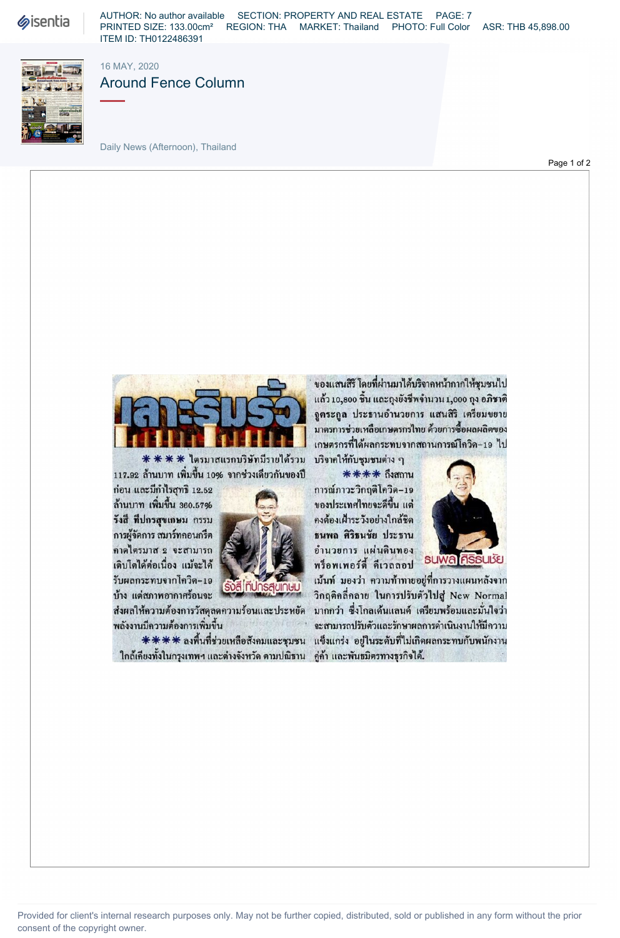**Sisentia** 

AUTHOR: No author available SECTION: PROPERTY AND REAL ESTATE PAGE: 7 PRINTED SIZE: 133.00cm² REGION: THA MARKET: Thailand PHOTO: Full Color ASR: THB 45,898.00 ITEM ID: TH0122486391



16 MAY, 2020

Daily News (Afternoon), Thailand

Around Fence Column

Page 1 of 2



 $**$  ไตรมาสแรกบริษัทมีรายได้รวม บริจากให้กับชุมชนต่าง ๆ 117.92 ถ้านบาท เพิ่มขึ้น 10% จากช่วงเดียวกันของปี \*\*\*\* ถึงสถาน

 [ 12.52 ^«8. 19 A ' \*'. รังสี ที่ปกรสุขเกษม กรรม 2000 3 คงต้องเฝ้าระวังอย่างใกล้ชิด การผู้จัดการ สมาร์ทคอนกรีต<br>คาดไตรมาส 2 จะสามารถ คาดไตรมาส 2 จะสามารถ ~ 1 « 9,, i\_ » « » ioHlla vmwi m ' ,3 « 1 ! เติบโตได้ต่อเนื่อง แม้จะได้<br>รับผลกระทบจากโควิด-19 - จะ... 2 เม้นท์ มองว่า ความท้าทาย



ใกล้เคียงทั้งในกรุงเทพฯ และต่างจังหวัด ตามปณิธาน คู่ค้า และพันธมิตรทางธุรกิจได้.

ของแสนสิริ โดยที่ผ่านมาได้บริจากหน้ากากให้ชุมชนไป แล้ว 10,800 ชิ้น และถุงยังชีพจำนวน 1,000 ถุง อภิชาติ จูตระกูล ประธานอำนวยการ แสนสิริ เตรียมขยาย มาตรการช่วยเหลือเกษตรกรไทย ด้วยการซื้อผลผลิตของ เกษตรกรที่ได้ผลกระทบจากสถานการณ์โควิด-19 ไป

ของประเทศไทยจะดีขึ้น แต่



เม้นท์ มองว่า ความท้าทายอยู่ที่การวางแผนหลังจาก  $\tilde{\mathbf{y}}$ ง แต่สภาพอากาศร้อนจะ  $\begin{bmatrix} \frac{1}{2} & \frac{1}{2} & \frac{1}{2} & \frac{1}{2} & \frac{1}{2} & \frac{1}{2} & \frac{1}{2} & \frac{1}{2} & \frac{1}{2} & \frac{1}{2} & \frac{1}{2} & \frac{1}{2} & \frac{1}{2} & \frac{1}{2} & \frac{1}{2} & \frac{1}{2} & \frac{1}{2} & \frac{1}{2} & \frac{1}{2} & \frac{1}{2} & \frac{1}{2} & \frac{1}{2} & \frac{1}{$ ส่งผลให้ความต้องการวัสดุลดความร้อนและประหยัด มากกว่า ซึ่งโกลเด้นแลนด์ เตรียมพร้อมและมั่นใจว่า พลังงานมีความต้องการเพิ่มขึ้น จากเกิด จะสามารถปรับตัวและรักษาผลการดำเนินงานให้มีความ  $*****$  ลงพื้นที่ช่วยเหลือสังคมและชุมชน แข็งแกร่ง อยู่ในระดับที่ไม่เกิดผลกระทบกับพนักงาน

Provided for client's internal research purposes only. May not be further copied, distributed, sold or published in any form without the prior consent of the copyright owner.